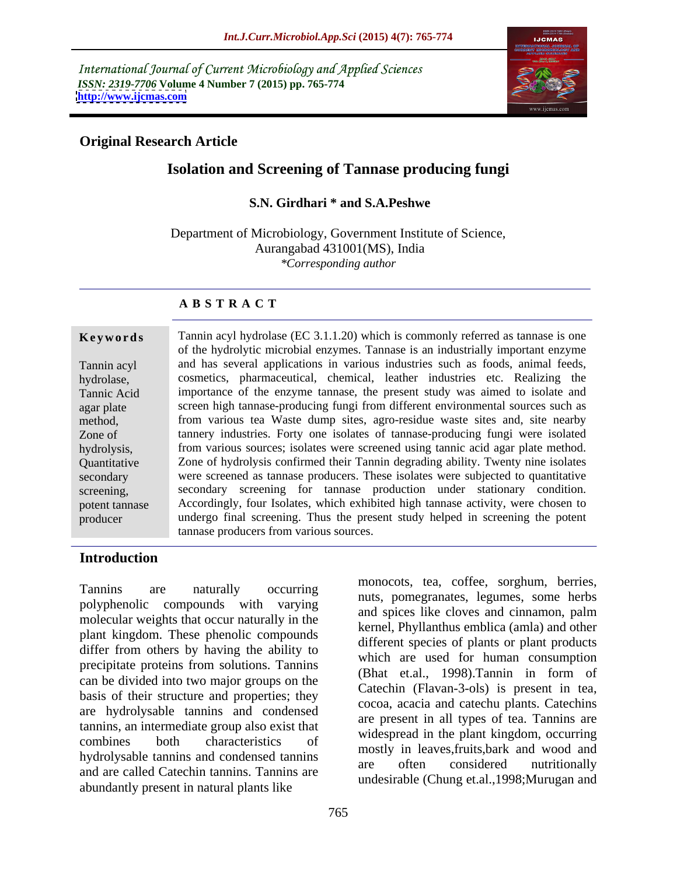International Journal of Current Microbiology and Applied Sciences *ISSN: 2319-7706* **Volume 4 Number 7 (2015) pp. 765-774 <http://www.ijcmas.com>**



### **Original Research Article**

## **Isolation and Screening of Tannase producing fungi**

#### **S.N. Girdhari \* and S.A.Peshwe**

Department of Microbiology, Government Institute of Science, Aurangabad 431001(MS), India *\*Corresponding author*

### **A B S T R A C T**

producer

Tannin acyl hydrolase (EC 3.1.1.20) which is commonly referred as tannase is one **Ke ywo rds** of the hydrolytic microbial enzymes. Tannase is an industrially important enzyme Tannin acyl and has several applications in various industries such as foods, animal feeds, cosmetics, pharmaceutical, chemical, leather industries etc. Realizing the hydrolase, importance of the enzyme tannase, the present study was aimed to isolate and Tannic Acid screen high tannase-producing fungi from different environmental sources such as agar plate from various tea Waste dump sites, agro-residue waste sites and, site nearby method, tannery industries. Forty one isolates of tannase-producing fungi were isolated Zone of hydrolysis, from various sources; isolates were screened using tannic acid agar plate method. Zone of hydrolysis confirmed their Tannin degrading ability. Twenty nine isolates Quantitative secondary were screened as tannase producers. These isolates were subjected to quantitative screening, secondary screening for tannase production under stationary condition. potent tannase Accordingly, four Isolates, which exhibited high tannase activity, were chosen to undergo final screening. Thus the present study helped in screening the potent tannase producers from various sources.

#### **Introduction**

Tannins are naturally occurring monocous, i.e., correct, sorgium, befines, polyphenolic compounds with varying molecular weights that occur naturally in the plant kingdom. These phenolic compounds differ from others by having the ability to precipitate proteins from solutions. Tannins can be divided into two major groups on the basis of their structure and properties; they are hydrolysable tannins and condensed tannins, an intermediate group also exist that combines both characteristics of mostly in leaves,fruits,bark and wood and hydrolysable tannins and condensed tannins are often considered nutritionally and are called Catechin tannins. Tannins are abundantly present in natural plants like

monocots, tea, coffee, sorghum, berries, nuts, pomegranates, legumes, some herbs and spices like cloves and cinnamon, palm kernel, Phyllanthus emblica (amla) and other different species of plants or plant products which are used for human consumption (Bhat et.al., 1998).Tannin in form of Catechin (Flavan-3-ols) is present in tea, cocoa, acacia and catechu plants. Catechins are present in all types of tea. Tannins are widespread in the plant kingdom, occurring are often considered nutritionally undesirable (Chung et.al.,1998;Murugan and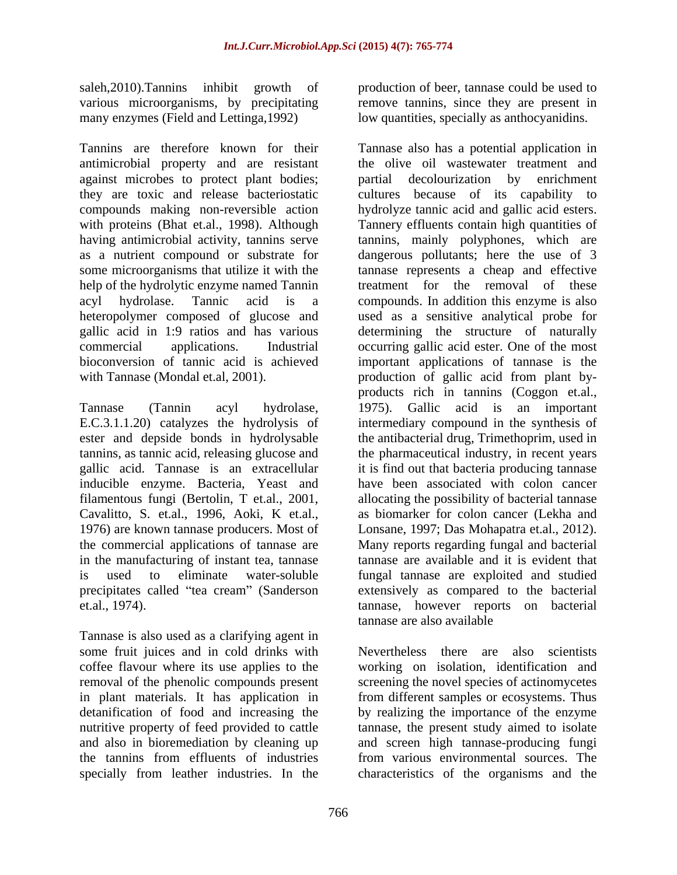many enzymes (Field and Lettinga,1992) low quantities, specially as anthocyanidins.

antimicrobial property and are resistant against microbes to protect plant bodies; partial decolourization by enrichment help of the hydrolytic enzyme named Tannin

Tannase (Tannin acyl hydrolase, E.C.3.1.1.20) catalyzes the hydrolysis of inducible enzyme. Bacteria, Yeast and the commercial applications of tannase are in the manufacturing of instant tea, tannase

Tannase is also used as a clarifying agent in some fruit juices and in cold drinks with coffee flavour where its use applies to the working on isolation, identification and removal of the phenolic compounds present screening the novel species of actinomycetes in plant materials. It has application in from different samples or ecosystems. Thus detanification of food and increasing the by realizing the importance of the enzyme nutritive property of feed provided to cattle tannase, the present study aimed to isolate and also in bioremediation by cleaning up and screen high tannase-producing fungi the tannins from effluents of industries from various environmental sources. The specially from leather industries. In the characteristics of the organisms and the

saleh,2010).Tannins inhibit growth of production of beer, tannase could be used to various microorganisms, by precipitating remove tannins, since they are present in

Tannins are therefore known for their Tannase also has a potential application in they are toxic and release bacteriostatic cultures because of its capability to compounds making non-reversible action hydrolyze tannic acid and gallic acid esters. with proteins (Bhat et.al., 1998). Although Tannery effluents contain high quantities of having antimicrobial activity, tannins serve tannins, mainly polyphones, which are as a nutrient compound or substrate for dangerous pollutants; here the use of 3 some microorganisms that utilize it with the tannase represents a cheap and effective acyl hydrolase. Tannic acid is a compounds. In addition this enzyme is also heteropolymer composed of glucose and used as a sensitive analytical probe for gallic acid in 1:9 ratios and has various determining the structure of naturally commercial applications. Industrial occurring gallic acid ester. One of the most bioconversion of tannic acid is achieved important applications of tannase is the with Tannase (Mondal et.al, 2001). The production of gallic acid from plant byester and depside bonds in hydrolysable the antibacterial drug, Trimethoprim, used in tannins, as tannic acid, releasing glucose and the pharmaceutical industry, in recent years gallic acid. Tannase is an extracellular it is find out that bacteria producing tannase filamentous fungi (Bertolin, T et.al., 2001, allocating the possibility of bacterial tannase Cavalitto, S. et.al., 1996, Aoki, K et.al., as biomarker for colon cancer (Lekha and 1976) are known tannase producers. Most of Lonsane, 1997; Das Mohapatra et.al., 2012). is used to eliminate water-soluble fungal tannase are exploited and studied precipitates called "tea cream" (Sanderson extensively as compared to the bacterial et.al., 1974). tannase, however reports on bacterial the olive oil wastewater treatment and partial decolourization by treatment for the removal of these products rich in tannins (Coggon et.al., 1975). Gallic acid is an important intermediary compound in the synthesis of have been associated with colon cancer Many reports regarding fungal and bacterial tannase are available and it is evident that tannase are also available

Nevertheless there are also scientists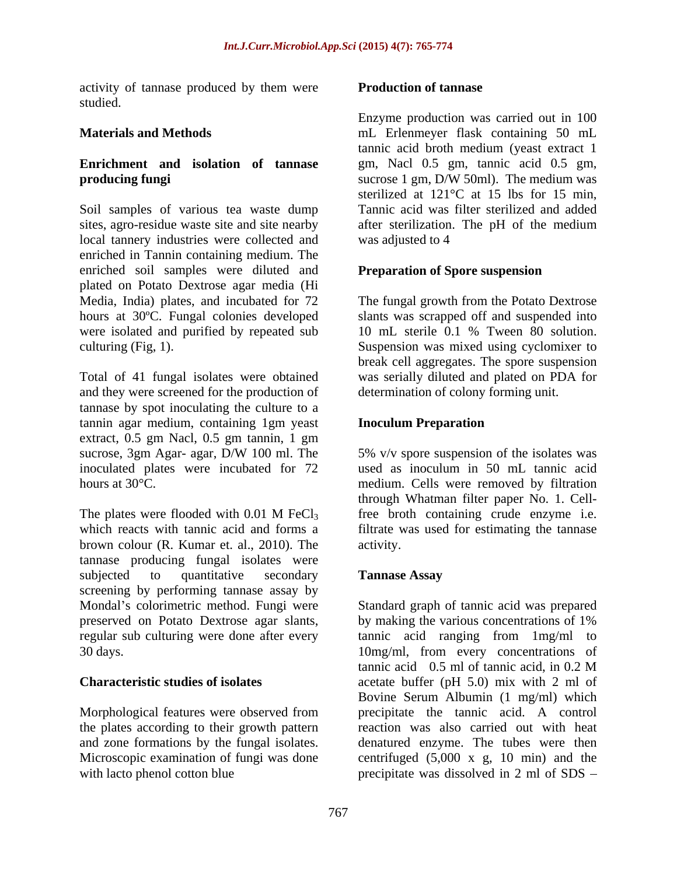activity of tannase produced by them were **Production of tannase** studied.

Soil samples of various tea waste dump local tannery industries were collected and enriched in Tannin containing medium. The enriched soil samples were diluted and plated on Potato Dextrose agar media (Hi Media, India) plates, and incubated for 72 hours at 30ºC. Fungal colonies developed slants was scrapped off and suspended into were isolated and purified by repeated sub 10 mL sterile 0.1 % Tween 80 solution. culturing (Fig, 1). Suspension was mixed using cyclomixer to

Total of 41 fungal isolates were obtained was serially diluted and plated on PDA for and they were screened for the production of tannase by spot inoculating the culture to a tannin agar medium, containing 1gm yeast extract, 0.5 gm Nacl, 0.5 gm tannin, 1 gm<br>sucrose, 3gm Agar- agar, D/W 100 ml. The sucrose, 3gm Agar- agar, D/W 100 ml. The 5% v/v spore suspension of the isolates was inoculated plates were incubated for 72 hours at 30<sup>o</sup>C. The same of the medium. Cells were removed by filtration

The plates were flooded with  $0.01 \text{ M}$  FeCl<sub>3</sub> free broth containing crude enzyme i.e. which reacts with tannic acid and forms a filtrate was used for estimating the tannase brown colour (R. Kumar et. al., 2010). The tannase producing fungal isolates were subjected to quantitative secondary **Tannase Assay** screening by performing tannase assay by preserved on Potato Dextrose agar slants, by making the various concentrations of 1%

Morphological features were observed from the plates according to their growth pattern

**Materials and Methods** mL Erlenmeyer flask containing 50 mL **Enrichment and isolation of tannase** gm, Nacl 0.5 gm, tannic acid 0.5 gm, **producing fungi** The sucrose 1 gm, D/W 50ml). The medium was sites, agro-residue waste site and site nearby after sterilization. The pH of the medium **Production of tannase** Enzyme production was carried out in <sup>100</sup> tannic acid broth medium (yeast extract 1 sterilized at 121°C at 15 lbs for 15 min, Tannic acid was filter sterilized and added was adjusted to 4

### **Preparation of Spore suspension**

The fungal growth from the Potato Dextrose 10 mL sterile 0.1 % Tween 80 solution. break cell aggregates. The spore suspension determination of colony forming unit.

### **Inoculum Preparation**

5% v/v spore suspension of the isolates was used as inoculum in 50 mL tannic acid through Whatman filter paper No. 1. Cellfree broth containing crude enzyme i.e. activity.

### **Tannase Assay**

Mondal's colorimetric method. Fungi were Standard graph of tannic acid was prepared regular sub culturing were done after every tannic acid ranging from 1mg/ml to 30 days. 10mg/ml, from every concentrations of **Characteristic studies of isolates** acetate buffer (pH 5.0) mix with 2 ml of and zone formations by the fungal isolates. denatured enzyme. The tubes were then Microscopic examination of fungi was done centrifuged (5,000 x g, 10 min) and the with lacto phenol cotton blue exercises in precipitate was dissolved in 2 ml of SDS – by making the various concentrations of 1% tannic acid 0.5 ml of tannic acid, in 0.2 M Bovine Serum Albumin (1 mg/ml) which precipitate the tannic acid. A control reaction was also carried out with heat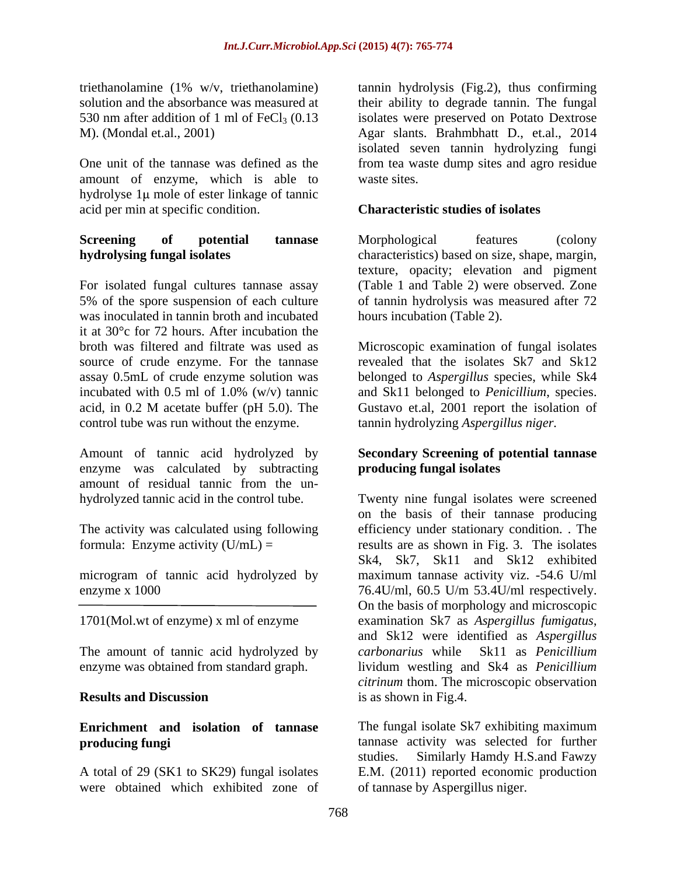amount of enzyme, which is able to waste sites. hydrolyse  $1\mu$  mole of ester linkage of tannic acid per min at specific condition.

For isolated fungal cultures tannase assay 5% of the spore suspension of each culture of tannin hydrolysis was measured after 72 was inoculated in tannin broth and incubated it at 30°c for 72 hours. After incubation the control tube was run without the enzyme.

Amount of tannic acid hydrolyzed by **Secondary Screening of potential tannase** enzyme was calculated by subtracting amount of residual tannic from the un-

The amount of tannic acid hydrolyzed by carbonarius while Sk11 as *Penicillium* enzyme was obtained from standard graph.

were obtained which exhibited zone of

triethanolamine (1% w/v, triethanolamine) tannin hydrolysis (Fig.2), thus confirming solution and the absorbance was measured at their ability to degrade tannin. The fungal 530 nm after addition of 1 ml of  $FeCl<sub>3</sub>$  (0.13 isolates were preserved on Potato Dextrose M). (Mondal et.al., 2001) Agar slants. Brahmbhatt D., et.al.,2014 One unit of the tannase was defined as the from tea waste dump sites and agro residue isolated seven tannin hydrolyzing fungi waste sites.

### **Characteristic studies of isolates**

**Screening of potential tannase hydrolysing fungal isolates**  characteristics) based on size, shape, margin, Morphological features (colony texture, opacity; elevation and pigment (Table 1 and Table 2) were observed. Zone hours incubation (Table 2).

broth was filtered and filtrate was used as Microscopic examination of fungal isolates source of crude enzyme. For the tannase revealed that the isolates Sk7 and Sk12 assay 0.5mL of crude enzyme solution was belonged to *Aspergillus* species, while Sk4 incubated with 0.5 ml of 1.0% (w/v) tannic and Sk11 belonged to *Penicillium*, species. acid, in 0.2 M acetate buffer (pH 5.0). The Gustavo et.al, 2001 report the isolation of Gustavo et.al, 2001 report the isolation of tannin hydrolyzing *Aspergillus niger.*

# **producing fungal isolates**

hydrolyzed tannic acid in the control tube. Twenty nine fungal isolates were screened The activity was calculated using following efficiency under stationary condition. . The formula: Enzyme activity (U/mL) = results are as shown in Fig. 3. The isolates microgram of tannic acid hydrolyzed by maximum tannase activity viz. -54.6 U/ml enzyme x 1000 76.4U/ml, 60.5 U/m 53.4U/ml respectively. 1701(Mol.wt of enzyme) x ml of enzyme<br>and Sk12 were identified as Aspergillus funity and Sk12 were identified as Aspergillus **Results and Discussion**  is as shown in Fig.4. on the basis of their tannase producing Sk4, Sk7, Sk11 and Sk12 exhibited On the basis of morphology and microscopic examination Sk7 as *Aspergillus fumigatus*, and Sk12 were identified as *Aspergillus carbonarius* while Sk11 as *Penicillium* lividum westling and Sk4 as *Penicillium citrinum* thom. The microscopic observation

**Enrichment and isolation of tannase** The fungal isolate Sk7 exhibiting maximum **producing fungi** tannase activity was selected for further A total of 29 (SK1 to SK29) fungal isolates E.M. (2011) reported economic production studies. Similarly Hamdy H.S.and Fawzy of tannase by Aspergillus niger.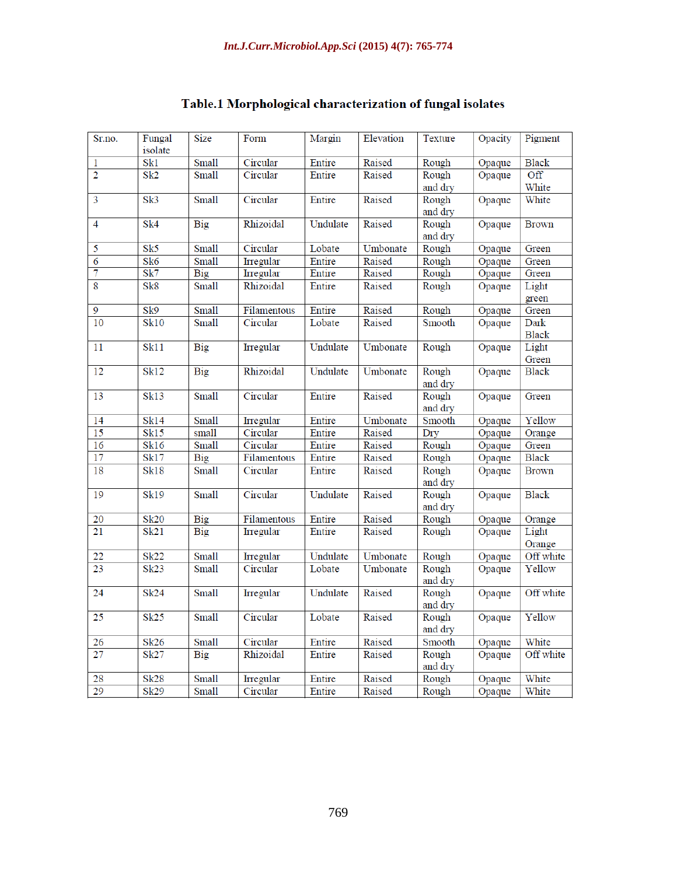| Sr.no.                  | Fungal           | Size         | Form        | Margin   | Elevation | Texture          | Opacity | Pigment          |
|-------------------------|------------------|--------------|-------------|----------|-----------|------------------|---------|------------------|
|                         | isolate          |              |             |          |           |                  |         |                  |
| $\mathbf{1}$            | Sk1              | <b>Small</b> | Circular    | Entire   | Raised    | Rough            | Opaque  | <b>Black</b>     |
| $\overline{2}$          | Sk <sub>2</sub>  | Small        | Circular    | Entire   | Raised    | Rough            | Opaque  | $\overline{Off}$ |
|                         |                  |              |             |          |           | and dry          |         | White            |
| $\overline{3}$          | Sk <sub>3</sub>  | <b>Small</b> | Circular    | Entire   | Raised    | Rough            | Opaque  | White            |
|                         |                  |              |             |          |           | and dry          |         |                  |
| 4                       | Sk <sub>4</sub>  | Big          | Rhizoidal   | Undulate | Raised    | Rough            | Opaque  | <b>Brown</b>     |
|                         |                  |              |             |          |           | and dry          |         |                  |
| 5                       | Sk <sub>5</sub>  | Small        | Circular    | Lobate   | Umbonate  | Rough            | Opaque  | Green            |
| $\overline{6}$          | Sk <sub>6</sub>  | Small        | Irregular   | Entire   | Raised    | Rough            | Opaque  | Green            |
| 7                       | Sk7              | <b>Big</b>   | Irregular   | Entire   | Raised    | Rough            | Opaque  | Green            |
| $\overline{\mathbf{8}}$ | Sk8              | Small        | Rhizoidal   | Entire   | Raised    | Rough            | Opaque  | Light            |
|                         |                  |              |             |          |           |                  |         | green            |
| $\overline{9}$          | Sk9              | <b>Small</b> | Filamentous | Entire   | Raised    | Rough            | Opaque  | Green            |
| 10                      | Sk10             | <b>Small</b> | Circular    | Lobate   | Raised    | Smooth           | Opaque  | Dark             |
|                         |                  |              |             |          |           |                  |         | <b>Black</b>     |
| 11                      | Sk <sub>11</sub> | Big          | Irregular   | Undulate | Umbonate  | Rough            | Opaque  | Light            |
|                         |                  |              |             |          |           |                  |         | Green            |
| $\overline{12}$         | Sk12             | <b>Big</b>   | Rhizoidal   | Undulate | Umbonate  | Rough            | Opaque  | <b>Black</b>     |
|                         |                  |              |             |          |           | and dry          |         |                  |
| 13                      | Sk <sub>13</sub> | <b>Small</b> | Circular    | Entire   | Raised    | Rough            | Opaque  | Green            |
|                         |                  |              |             |          |           | and dry          |         |                  |
| 14                      | Sk14             | <b>Small</b> | Irregular   | Entire   | Umbonate  | Smooth           | Opaque  | Yellow           |
| 15                      | Sk15             | small        | Circular    | Entire   | Raised    | Dry              | Opaque  | Orange           |
| $\overline{16}$         | Sk16             | Small        | Circular    | Entire   | Raised    | Rough            | Opaque  | Green            |
| 17                      | Sk17             | Big          | Filamentous | Entire   | Raised    | Rough            | Opaque  | <b>Black</b>     |
| 18                      | Sk18             | Small        | Circular    | Entire   | Raised    | Rough<br>and dry | Opaque  | <b>Brown</b>     |
| 19                      | <b>Sk19</b>      | <b>Small</b> | Circular    | Undulate | Raised    | Rough<br>and dry | Opaque  | <b>Black</b>     |
| 20                      | <b>Sk20</b>      | Big          | Filamentous | Entire   | Raised    | Rough            | Opaque  | Orange           |
| 21                      | Sk21             | Big          | Irregular   | Entire   | Raised    | Rough            | Opaque  | Light            |
|                         |                  |              |             |          |           |                  |         | Orange           |
| 22                      | Sk22             | <b>Small</b> | Irregular   | Undulate | Umbonate  | Rough            | Opaque  | Off white        |
| 23                      | Sk23             | <b>Small</b> | Circular    | Lobate   | Umbonate  | Rough            | Opaque  | Yellow           |
|                         |                  |              |             |          |           | and dry          |         |                  |
| 24                      | Sk24             | <b>Small</b> | Irregular   | Undulate | Raised    | Rough            | Opaque  | Off white        |
|                         |                  |              |             |          |           | and dry          |         |                  |
| 25                      | Sk25             | <b>Small</b> | Circular    | Lobate   | Raised    | Rough            | Opaque  | Yellow           |
|                         |                  |              |             |          |           | and dry          |         |                  |
| 26                      | Sk <sub>26</sub> | <b>Small</b> | Circular    | Entire   | Raised    | Smooth           | Opaque  | White            |
| $\overline{27}$         | Sk27             | Big          | Rhizoidal   | Entire   | Raised    | Rough            | Opaque  | Off white        |
|                         |                  |              |             |          |           | and dry          |         |                  |
| 28                      | Sk <sub>28</sub> | <b>Small</b> | Irregular   | Entire   | Raised    | Rough            | Opaque  | White            |
| 29                      | Sk29             | Small        | Circular    | Entire   | Raised    | Rough            | Opaque  | White            |
|                         |                  |              |             |          |           |                  |         |                  |

# Table.1 Morphological characterization of fungal isolates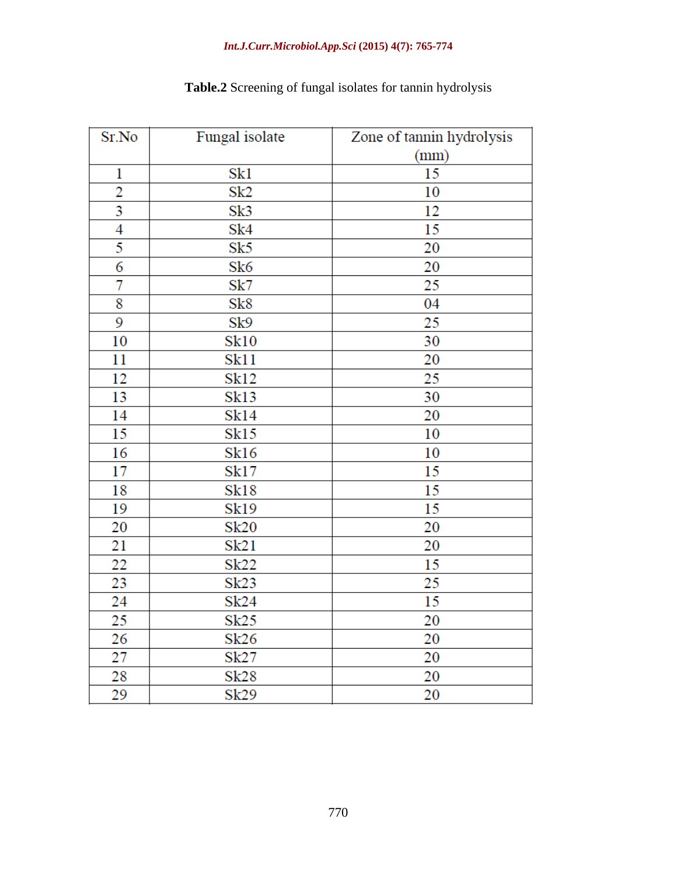### *Int.J.Curr.Microbiol.App.Sci* **(2015) 4(7): 765-774**

| Sr.No                   | Fungal isolate  | Zone of tannin hydrolysis |
|-------------------------|-----------------|---------------------------|
|                         |                 | (mm)                      |
| 1                       | Sk1             | 15                        |
| $\overline{2}$          | Sk <sub>2</sub> | 10                        |
| $\overline{\mathbf{3}}$ | Sk3             | 12                        |
| $\overline{4}$          | Sk4             | 15                        |
| 5                       | Sk5             | 20                        |
| 6                       | Sk6             | 20                        |
| 7                       | Sk7             | 25                        |
| 8                       | Sk8             | 04                        |
| 9                       | Sk9             | 25                        |
| 10                      | Sk10            | 30                        |
| 11                      | Sk11            | 20                        |
| 12                      | Sk12            | 25                        |
| 13                      | Sk13            | 30                        |
| 14                      | Sk14            | 20                        |
| 15                      | Sk15            | 10                        |
| 16                      | Sk16            | 10                        |
| 17                      | Sk17            | 15                        |
| 18                      | Sk18            | 15                        |
| 19                      | Sk19            | 15                        |
| 20                      | Sk20            | 20                        |
| 21                      | Sk21            | 20                        |
| 22                      | Sk22            | 15                        |
| 23                      | Sk23            | 25                        |
| 24                      | Sk24            | 15                        |
| 25                      | Sk25            | 20                        |
| 26                      | Sk26            | 20                        |
| 27                      | Sk27            | 20                        |
| 28                      | Sk28            | 20                        |
| 29                      | Sk29            | 20                        |

# **Table.2** Screening of fungal isolates for tannin hydrolysis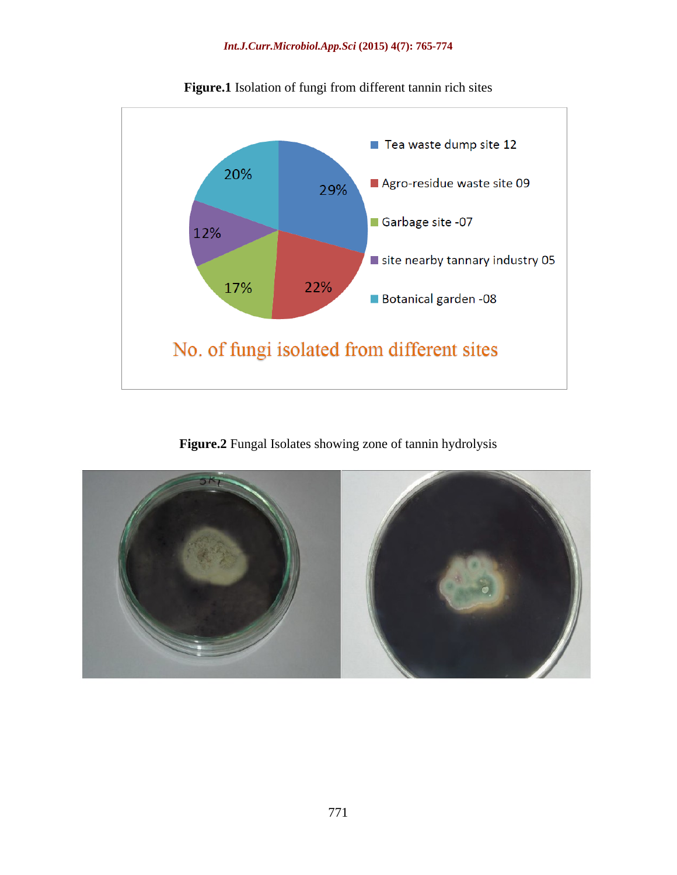

**Figure.1** Isolation of fungi from different tannin rich sites

**Figure.2** Fungal Isolates showing zone of tannin hydrolysis

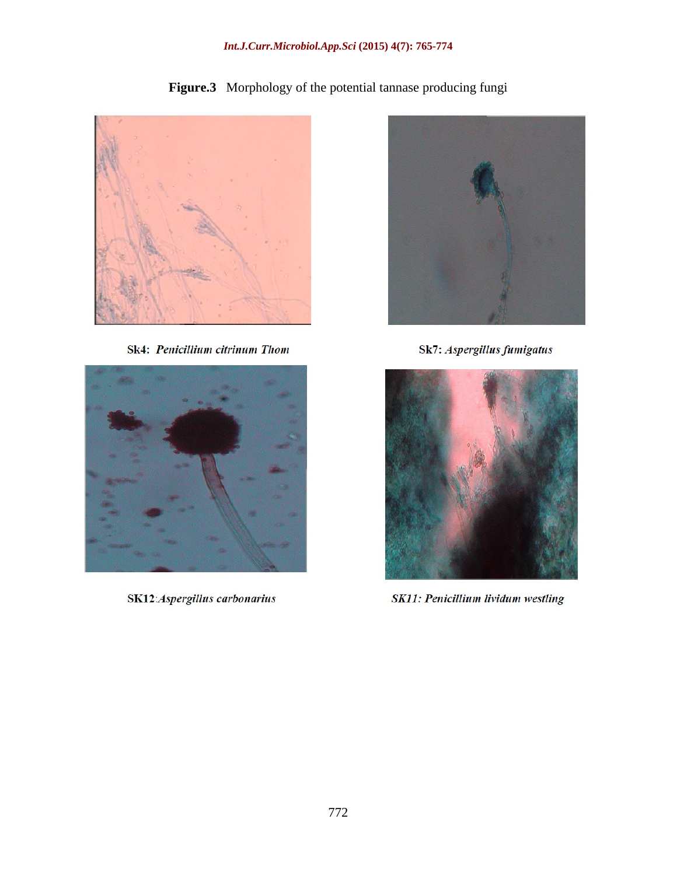**Figure.3** Morphology of the potential tannase producing fungi



Sk4: Penicillium citrinum Thom



SK12:Aspergillus carbonarius



Sk7: Aspergillus fumigatus



SK11: Penicillium lividum westling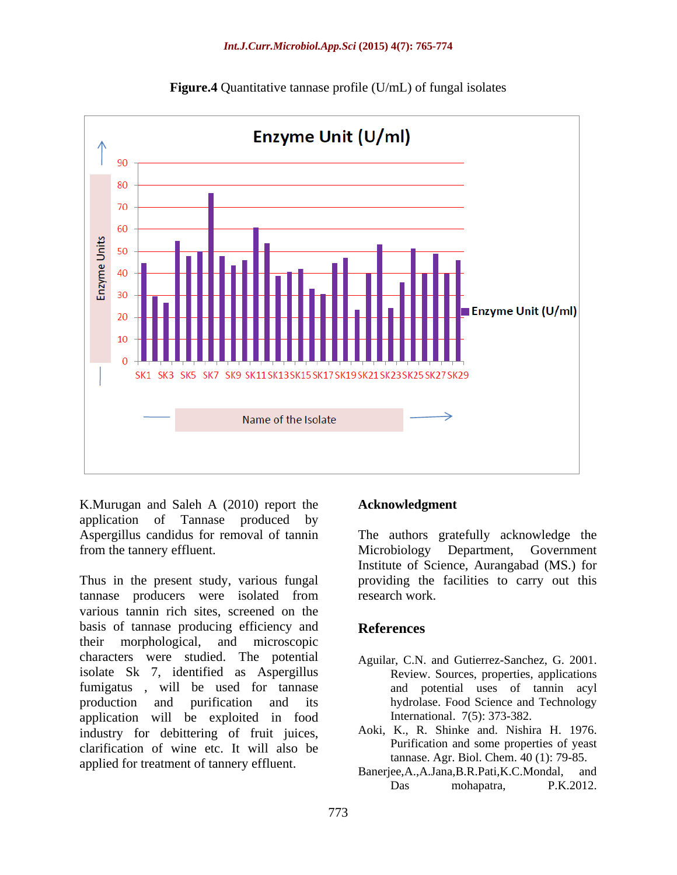

**Figure.4** Quantitative tannase profile (U/mL) of fungal isolates

K.Murugan and Saleh A (2010) report the application of Tannase produced by Aspergillus candidus for removal of tannin The authors gratefully acknowledge the from the tannery effluent. Microbiology Department, Government

Thus in the present study, various fungal tannase producers were isolated from various tannin rich sites, screened on the basis of tannase producing efficiency and **References** their morphological, and microscopic characters were studied. The potential isolate Sk 7, identified as Aspergillus fumigatus , will be used for tannase and potential uses of tannin acyl production and purification and its hydrolase. Food Science and Technology application will be exploited in food industry for debittering of fruit juices, clarification of wine etc. It will also be applied for treatment of tannery effluent.<br>Baneriee.A..A.Jana.B.R.Pati.K.C.Mondal. and

### **Acknowledgment**

Microbiology Department, Government Institute of Science, Aurangabad (MS.) for providing the facilities to carry out this research work.

### **References**

- Aguilar, C.N. and Gutierrez-Sanchez, G. 2001. Review. Sources, properties, applications International. 7(5): 373-382.
- Aoki, K., R. Shinke and. Nishira H. 1976. Purification and some properties of yeast tannase. Agr. Biol. Chem. 40 (1): 79-85.
- Banerjee, A., A.Jana, B.R. Pati, K.C. Mondal, Das mohapatra, P.K.2012.